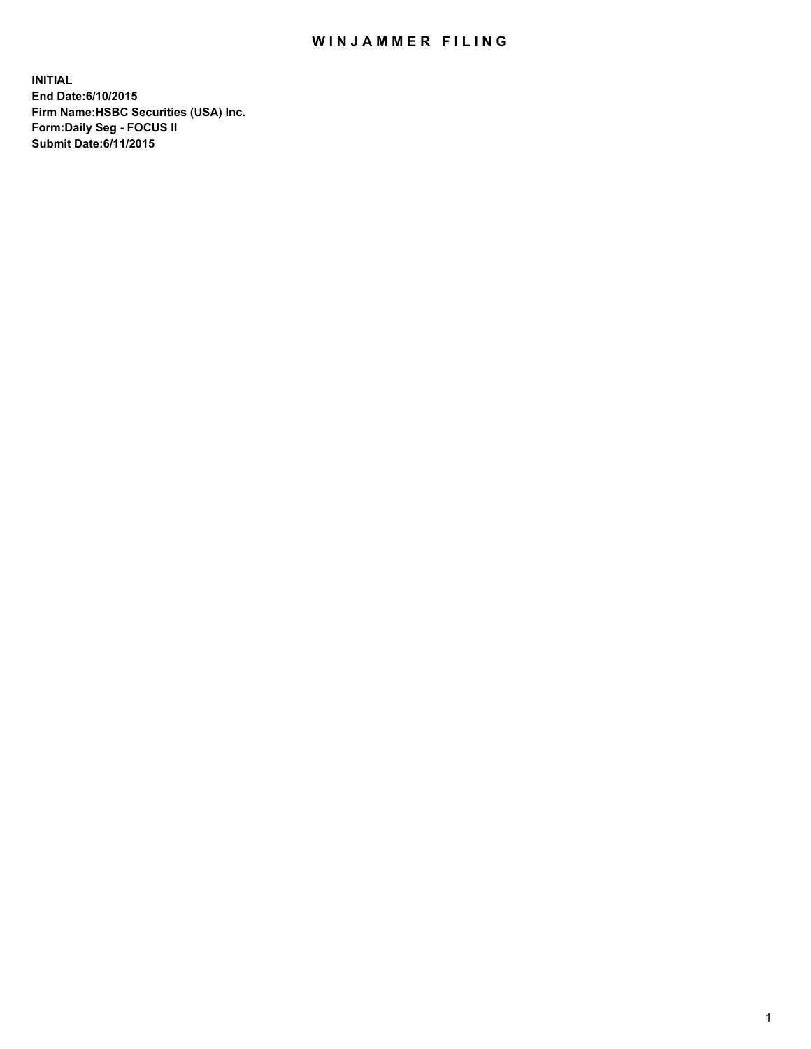## WIN JAMMER FILING

**INITIAL End Date:6/10/2015 Firm Name:HSBC Securities (USA) Inc. Form:Daily Seg - FOCUS II Submit Date:6/11/2015**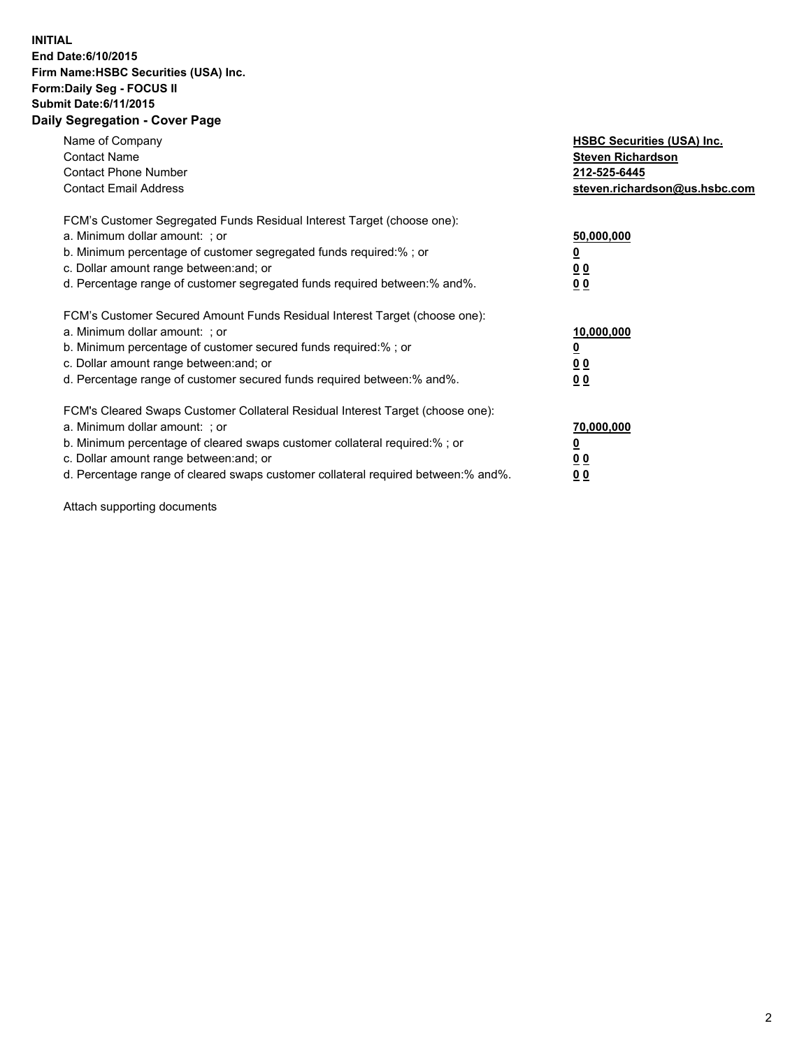## **INITIAL End Date:6/10/2015 Firm Name:HSBC Securities (USA) Inc. Form:Daily Seg - FOCUS II Submit Date:6/11/2015 Daily Segregation - Cover Page**

| Name of Company<br><b>Contact Name</b><br><b>Contact Phone Number</b><br><b>Contact Email Address</b>                                                                                                                                                                                                                          | <b>HSBC Securities (USA) Inc.</b><br><b>Steven Richardson</b><br>212-525-6445<br>steven.richardson@us.hsbc.com |
|--------------------------------------------------------------------------------------------------------------------------------------------------------------------------------------------------------------------------------------------------------------------------------------------------------------------------------|----------------------------------------------------------------------------------------------------------------|
| FCM's Customer Segregated Funds Residual Interest Target (choose one):<br>a. Minimum dollar amount: ; or<br>b. Minimum percentage of customer segregated funds required:%; or<br>c. Dollar amount range between: and; or<br>d. Percentage range of customer segregated funds required between: % and %.                        | 50,000,000<br>0 <sub>0</sub><br>0 <sub>0</sub>                                                                 |
| FCM's Customer Secured Amount Funds Residual Interest Target (choose one):<br>a. Minimum dollar amount: ; or<br>b. Minimum percentage of customer secured funds required:%; or<br>c. Dollar amount range between: and; or<br>d. Percentage range of customer secured funds required between:% and%.                            | 10,000,000<br><u>0</u><br>0 <sub>0</sub><br>0 <sub>0</sub>                                                     |
| FCM's Cleared Swaps Customer Collateral Residual Interest Target (choose one):<br>a. Minimum dollar amount: ; or<br>b. Minimum percentage of cleared swaps customer collateral required:% ; or<br>c. Dollar amount range between: and; or<br>d. Percentage range of cleared swaps customer collateral required between:% and%. | 70,000,000<br>00<br><u>00</u>                                                                                  |

Attach supporting documents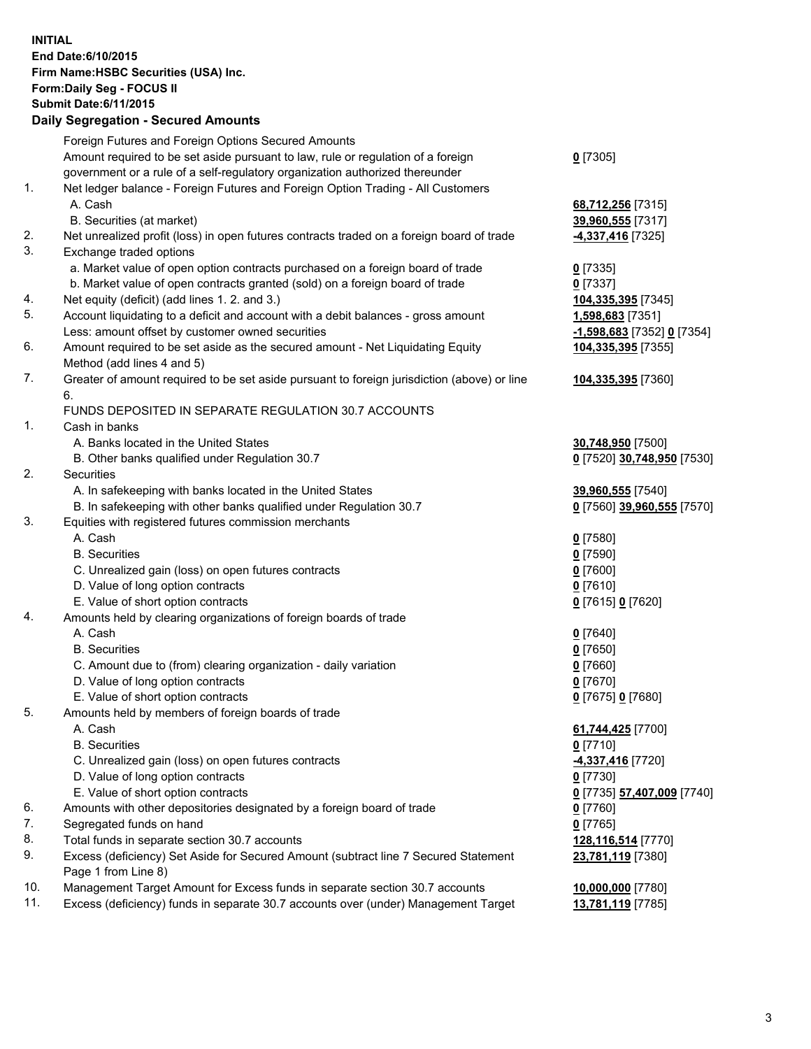**INITIAL End Date:6/10/2015 Firm Name:HSBC Securities (USA) Inc. Form:Daily Seg - FOCUS II Submit Date:6/11/2015 Daily Segregation - Secured Amounts**

|     | Dany Segregation - Secured Announts                                                         |                            |
|-----|---------------------------------------------------------------------------------------------|----------------------------|
|     | Foreign Futures and Foreign Options Secured Amounts                                         |                            |
|     | Amount required to be set aside pursuant to law, rule or regulation of a foreign            | $0$ [7305]                 |
|     | government or a rule of a self-regulatory organization authorized thereunder                |                            |
| 1.  | Net ledger balance - Foreign Futures and Foreign Option Trading - All Customers             |                            |
|     | A. Cash                                                                                     | 68,712,256 [7315]          |
|     | B. Securities (at market)                                                                   | 39,960,555 [7317]          |
| 2.  | Net unrealized profit (loss) in open futures contracts traded on a foreign board of trade   | 4,337,416 [7325]           |
| 3.  | Exchange traded options                                                                     |                            |
|     | a. Market value of open option contracts purchased on a foreign board of trade              | $0$ [7335]                 |
|     | b. Market value of open contracts granted (sold) on a foreign board of trade                | $0$ [7337]                 |
| 4.  | Net equity (deficit) (add lines 1.2. and 3.)                                                | 104,335,395 [7345]         |
| 5.  | Account liquidating to a deficit and account with a debit balances - gross amount           | 1,598,683 [7351]           |
|     | Less: amount offset by customer owned securities                                            | -1,598,683 [7352] 0 [7354] |
| 6.  | Amount required to be set aside as the secured amount - Net Liquidating Equity              | 104,335,395 [7355]         |
|     | Method (add lines 4 and 5)                                                                  |                            |
| 7.  | Greater of amount required to be set aside pursuant to foreign jurisdiction (above) or line | 104,335,395 [7360]         |
|     | 6.                                                                                          |                            |
|     | FUNDS DEPOSITED IN SEPARATE REGULATION 30.7 ACCOUNTS                                        |                            |
| 1.  | Cash in banks                                                                               |                            |
|     | A. Banks located in the United States                                                       | 30,748,950 [7500]          |
|     | B. Other banks qualified under Regulation 30.7                                              | 0 [7520] 30,748,950 [7530] |
| 2.  | Securities                                                                                  |                            |
|     | A. In safekeeping with banks located in the United States                                   | 39,960,555 [7540]          |
|     | B. In safekeeping with other banks qualified under Regulation 30.7                          | 0 [7560] 39,960,555 [7570] |
| 3.  | Equities with registered futures commission merchants                                       |                            |
|     | A. Cash                                                                                     | $0$ [7580]                 |
|     | <b>B.</b> Securities                                                                        | $0$ [7590]                 |
|     | C. Unrealized gain (loss) on open futures contracts                                         | $0$ [7600]                 |
|     | D. Value of long option contracts                                                           | $0$ [7610]                 |
|     | E. Value of short option contracts                                                          | 0 [7615] 0 [7620]          |
| 4.  | Amounts held by clearing organizations of foreign boards of trade                           |                            |
|     | A. Cash                                                                                     | $0$ [7640]                 |
|     | <b>B.</b> Securities                                                                        | $0$ [7650]                 |
|     | C. Amount due to (from) clearing organization - daily variation                             | $0$ [7660]                 |
|     | D. Value of long option contracts                                                           | $0$ [7670]                 |
|     | E. Value of short option contracts                                                          | 0 [7675] 0 [7680]          |
| 5.  | Amounts held by members of foreign boards of trade                                          |                            |
|     | A. Cash                                                                                     | 61,744,425 [7700]          |
|     | <b>B.</b> Securities                                                                        | $0$ [7710]                 |
|     | C. Unrealized gain (loss) on open futures contracts                                         | 4,337,416 [7720]           |
|     | D. Value of long option contracts                                                           | $0$ [7730]                 |
|     | E. Value of short option contracts                                                          | 0 [7735] 57,407,009 [7740] |
| 6.  | Amounts with other depositories designated by a foreign board of trade                      | 0 [7760]                   |
| 7.  | Segregated funds on hand                                                                    | $0$ [7765]                 |
| 8.  | Total funds in separate section 30.7 accounts                                               | 128,116,514 [7770]         |
| 9.  | Excess (deficiency) Set Aside for Secured Amount (subtract line 7 Secured Statement         | 23,781,119 [7380]          |
|     | Page 1 from Line 8)                                                                         |                            |
| 10. | Management Target Amount for Excess funds in separate section 30.7 accounts                 | 10,000,000 [7780]          |
| 11. | Excess (deficiency) funds in separate 30.7 accounts over (under) Management Target          | 13,781,119 [7785]          |
|     |                                                                                             |                            |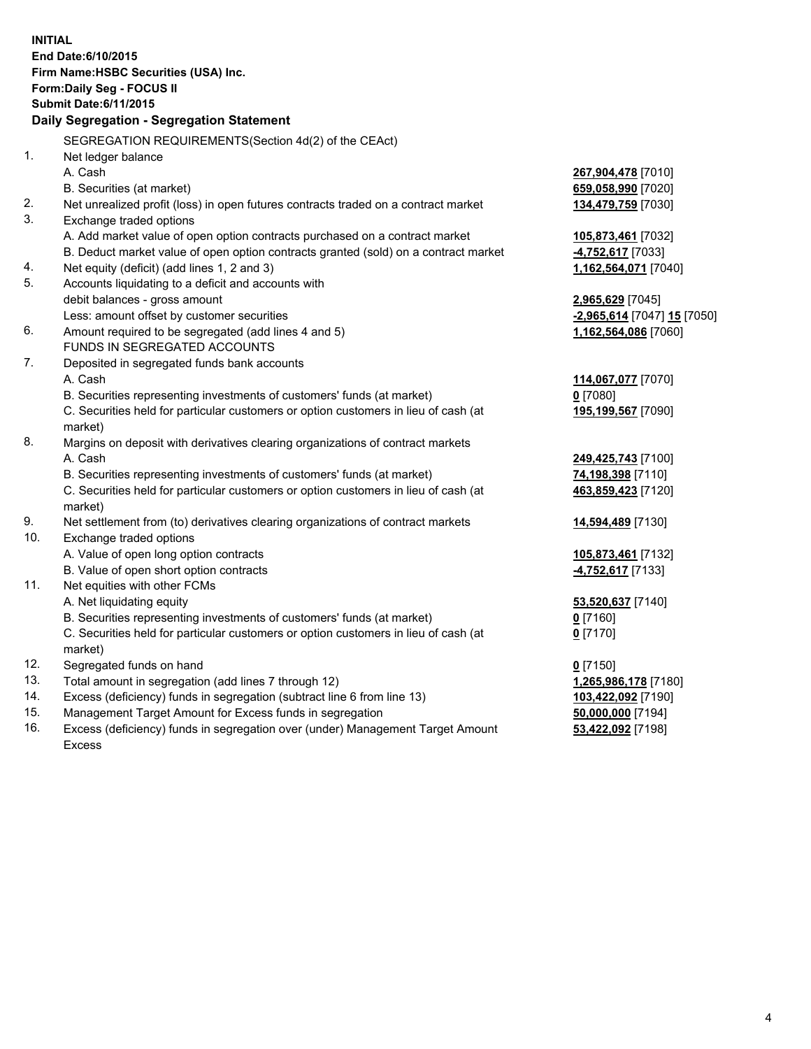| <b>INITIAL</b>                        | End Date: 6/10/2015                                                                            |                             |  |  |  |  |
|---------------------------------------|------------------------------------------------------------------------------------------------|-----------------------------|--|--|--|--|
| Firm Name: HSBC Securities (USA) Inc. |                                                                                                |                             |  |  |  |  |
|                                       | Form: Daily Seg - FOCUS II                                                                     |                             |  |  |  |  |
|                                       | <b>Submit Date:6/11/2015</b>                                                                   |                             |  |  |  |  |
|                                       | Daily Segregation - Segregation Statement                                                      |                             |  |  |  |  |
|                                       | SEGREGATION REQUIREMENTS(Section 4d(2) of the CEAct)                                           |                             |  |  |  |  |
| 1.                                    | Net ledger balance                                                                             |                             |  |  |  |  |
|                                       | A. Cash                                                                                        | 267,904,478 [7010]          |  |  |  |  |
|                                       | B. Securities (at market)                                                                      | 659,058,990 [7020]          |  |  |  |  |
| 2.                                    | Net unrealized profit (loss) in open futures contracts traded on a contract market             | 134,479,759 [7030]          |  |  |  |  |
| 3.                                    | Exchange traded options                                                                        |                             |  |  |  |  |
|                                       | A. Add market value of open option contracts purchased on a contract market                    | 105,873,461 [7032]          |  |  |  |  |
|                                       | B. Deduct market value of open option contracts granted (sold) on a contract market            | 4,752,617 [7033]            |  |  |  |  |
| 4.                                    | Net equity (deficit) (add lines 1, 2 and 3)                                                    | 1,162,564,071 [7040]        |  |  |  |  |
| 5.                                    | Accounts liquidating to a deficit and accounts with                                            |                             |  |  |  |  |
|                                       | debit balances - gross amount                                                                  | 2,965,629 [7045]            |  |  |  |  |
|                                       | Less: amount offset by customer securities                                                     | -2,965,614 [7047] 15 [7050] |  |  |  |  |
| 6.                                    | Amount required to be segregated (add lines 4 and 5)                                           | 1,162,564,086 [7060]        |  |  |  |  |
|                                       | FUNDS IN SEGREGATED ACCOUNTS                                                                   |                             |  |  |  |  |
| 7.                                    | Deposited in segregated funds bank accounts                                                    |                             |  |  |  |  |
|                                       | A. Cash                                                                                        | 114,067,077 [7070]          |  |  |  |  |
|                                       | B. Securities representing investments of customers' funds (at market)                         | $0$ [7080]                  |  |  |  |  |
|                                       | C. Securities held for particular customers or option customers in lieu of cash (at            | 195,199,567 [7090]          |  |  |  |  |
|                                       | market)                                                                                        |                             |  |  |  |  |
| 8.                                    | Margins on deposit with derivatives clearing organizations of contract markets                 |                             |  |  |  |  |
|                                       | A. Cash                                                                                        | 249,425,743 [7100]          |  |  |  |  |
|                                       | B. Securities representing investments of customers' funds (at market)                         | 74,198,398 [7110]           |  |  |  |  |
|                                       | C. Securities held for particular customers or option customers in lieu of cash (at<br>market) | 463,859,423 [7120]          |  |  |  |  |
| 9.                                    | Net settlement from (to) derivatives clearing organizations of contract markets                | 14,594,489 [7130]           |  |  |  |  |
| 10.                                   | Exchange traded options                                                                        |                             |  |  |  |  |
|                                       | A. Value of open long option contracts                                                         | 105,873,461 [7132]          |  |  |  |  |
|                                       | B. Value of open short option contracts                                                        | $-4,752,617$ [7133]         |  |  |  |  |
| 11.                                   | Net equities with other FCMs                                                                   |                             |  |  |  |  |
|                                       | A. Net liquidating equity                                                                      | 53,520,637 [7140]           |  |  |  |  |
|                                       | B. Securities representing investments of customers' funds (at market)                         | 0 [7160]                    |  |  |  |  |
|                                       | C. Securities held for particular customers or option customers in lieu of cash (at            | $0$ [7170]                  |  |  |  |  |
|                                       | market)                                                                                        |                             |  |  |  |  |
| 12.                                   | Segregated funds on hand                                                                       | $0$ [7150]                  |  |  |  |  |
| 13.                                   | Total amount in segregation (add lines 7 through 12)                                           | 1,265,986,178 [7180]        |  |  |  |  |
| 14.                                   | Excess (deficiency) funds in segregation (subtract line 6 from line 13)                        | 103,422,092 [7190]          |  |  |  |  |
| 15.                                   | Management Target Amount for Excess funds in segregation                                       | 50,000,000 [7194]           |  |  |  |  |
| 16.                                   | Excess (deficiency) funds in segregation over (under) Management Target Amount                 | 53,422,092 [7198]           |  |  |  |  |

16. Excess (deficiency) funds in segregation over (under) Management Target Amount Excess